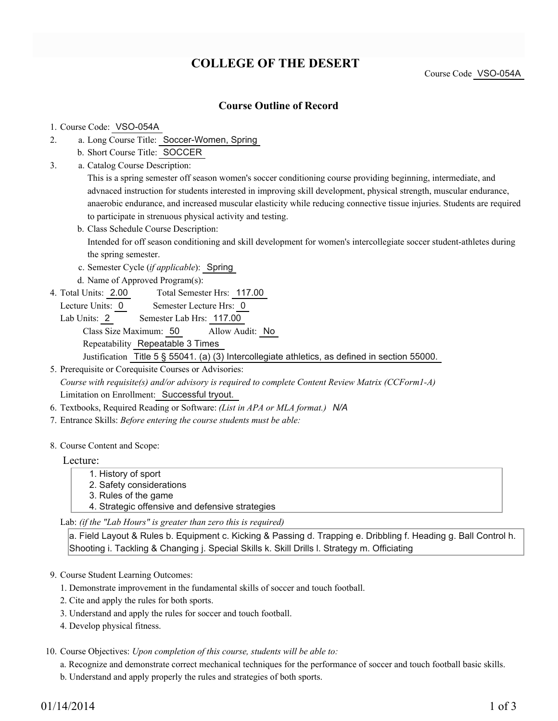# **COLLEGE OF THE DESERT**

Course Code VSO-054A

## **Course Outline of Record**

### 1. Course Code: VSO-054A

- a. Long Course Title: Soccer-Women, Spring 2.
	- b. Short Course Title: SOCCER
- Catalog Course Description: a. 3.

This is a spring semester off season women's soccer conditioning course providing beginning, intermediate, and advnaced instruction for students interested in improving skill development, physical strength, muscular endurance, anaerobic endurance, and increased muscular elasticity while reducing connective tissue injuries. Students are required to participate in strenuous physical activity and testing.

- b. Class Schedule Course Description: Intended for off season conditioning and skill development for women's intercollegiate soccer student-athletes during the spring semester.
- c. Semester Cycle (*if applicable*): Spring
- d. Name of Approved Program(s):
- Total Semester Hrs: 117.00 4. Total Units: 2.00
	- Lecture Units: 0 Semester Lecture Hrs: 0
	- Lab Units: 2 Semester Lab Hrs: 117.00 Class Size Maximum: 50 Allow Audit: No Repeatability Repeatable 3 Times Justification Title 5 § 55041. (a) (3) Intercollegiate athletics, as defined in section 55000.

5. Prerequisite or Corequisite Courses or Advisories: *Course with requisite(s) and/or advisory is required to complete Content Review Matrix (CCForm1-A)* Limitation on Enrollment: Successful tryout.

- 6. Textbooks, Required Reading or Software: *(List in APA or MLA format.) N/A*
- 7. Entrance Skills: *Before entering the course students must be able:*
- 8. Course Content and Scope:

## Lecture:

- 1. History of sport
- 2. Safety considerations
- 3. Rules of the game
- 4. Strategic offensive and defensive strategies

Lab: *(if the "Lab Hours" is greater than zero this is required)*

a. Field Layout & Rules b. Equipment c. Kicking & Passing d. Trapping e. Dribbling f. Heading g. Ball Control h. Shooting i. Tackling & Changing j. Special Skills k. Skill Drills l. Strategy m. Officiating

- 9. Course Student Learning Outcomes:
	- 1. Demonstrate improvement in the fundamental skills of soccer and touch football.
	- 2. Cite and apply the rules for both sports.
	- 3. Understand and apply the rules for soccer and touch football.
	- 4. Develop physical fitness.

10. Course Objectives: Upon completion of this course, students will be able to:

- a. Recognize and demonstrate correct mechanical techniques for the performance of soccer and touch football basic skills.
- b. Understand and apply properly the rules and strategies of both sports.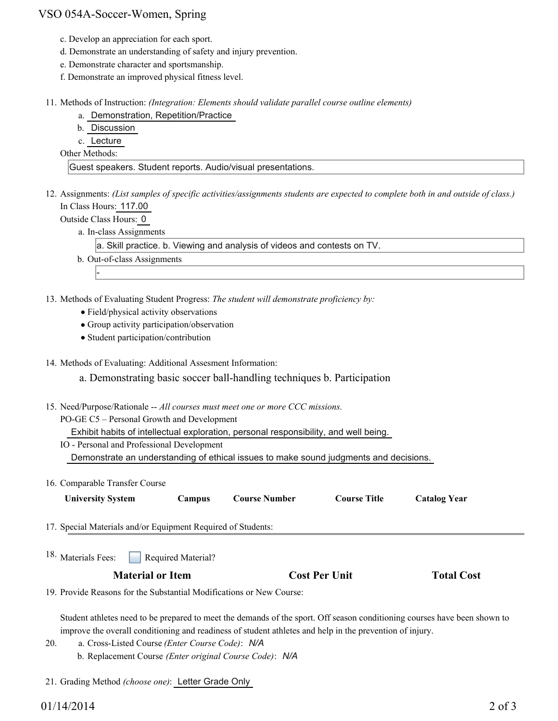## VSO 054A-Soccer-Women, Spring

- c. Develop an appreciation for each sport.
- d. Demonstrate an understanding of safety and injury prevention.
- e. Demonstrate character and sportsmanship.
- f. Demonstrate an improved physical fitness level.
- Methods of Instruction: *(Integration: Elements should validate parallel course outline elements)* 11.
	- a. Demonstration, Repetition/Practice
	- b. Discussion

c. Lecture

Other Methods:

Guest speakers. Student reports. Audio/visual presentations.

12. Assignments: (List samples of specific activities/assignments students are expected to complete both in and outside of class.) In Class Hours: 117.00

Outside Class Hours: 0

-

a. In-class Assignments

a. Skill practice. b. Viewing and analysis of videos and contests on TV.

- b. Out-of-class Assignments
- 13. Methods of Evaluating Student Progress: The student will demonstrate proficiency by:
	- Field/physical activity observations
	- Group activity participation/observation
	- Student participation/contribution

14. Methods of Evaluating: Additional Assesment Information:

a. Demonstrating basic soccer ball-handling techniques b. Participation

- 15. Need/Purpose/Rationale -- All courses must meet one or more CCC missions.
	- PO-GE C5 Personal Growth and Development

Exhibit habits of intellectual exploration, personal responsibility, and well being.

IO - Personal and Professional Development

Demonstrate an understanding of ethical issues to make sound judgments and decisions.

16. Comparable Transfer Course

| <b>University System</b>                                     | <b>Campus</b>      | <b>Course Number</b> | <b>Course Title</b>  | <b>Catalog Year</b> |  |
|--------------------------------------------------------------|--------------------|----------------------|----------------------|---------------------|--|
| 17. Special Materials and/or Equipment Required of Students: |                    |                      |                      |                     |  |
| 18. Materials Fees:                                          | Required Material? |                      |                      |                     |  |
| <b>Material or Item</b>                                      |                    |                      | <b>Cost Per Unit</b> | <b>Total Cost</b>   |  |

19. Provide Reasons for the Substantial Modifications or New Course:

Student athletes need to be prepared to meet the demands of the sport. Off season conditioning courses have been shown to improve the overall conditioning and readiness of student athletes and help in the prevention of injury.

- a. Cross-Listed Course *(Enter Course Code)*: *N/A* b. Replacement Course *(Enter original Course Code)*: *N/A* 20.
- 21. Grading Method *(choose one)*: Letter Grade Only